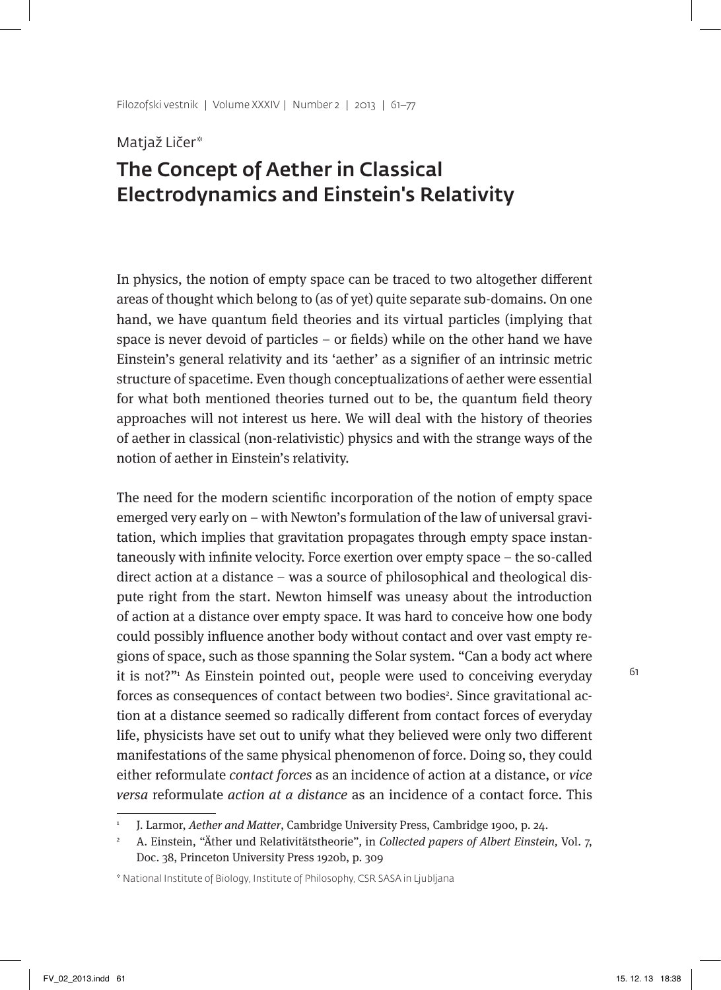#### Matjaž Ličer\*

# The Concept of Aether in Classical Electrodynamics and Einstein's Relativity

In physics, the notion of empty space can be traced to two altogether different areas of thought which belong to (as of yet) quite separate sub-domains. On one hand, we have quantum field theories and its virtual particles (implying that space is never devoid of particles – or fields) while on the other hand we have Einstein's general relativity and its 'aether' as a signifier of an intrinsic metric structure of spacetime. Even though conceptualizations of aether were essential for what both mentioned theories turned out to be, the quantum field theory approaches will not interest us here. We will deal with the history of theories of aether in classical (non-relativistic) physics and with the strange ways of the notion of aether in Einstein's relativity.

The need for the modern scientific incorporation of the notion of empty space emerged very early on – with Newton's formulation of the law of universal gravitation, which implies that gravitation propagates through empty space instantaneously with infinite velocity. Force exertion over empty space – the so-called direct action at a distance – was a source of philosophical and theological dispute right from the start. Newton himself was uneasy about the introduction of action at a distance over empty space. It was hard to conceive how one body could possibly influence another body without contact and over vast empty regions of space, such as those spanning the Solar system. "Can a body act where it is not?"1 As Einstein pointed out, people were used to conceiving everyday forces as consequences of contact between two bodies<sup>2</sup>. Since gravitational action at a distance seemed so radically different from contact forces of everyday life, physicists have set out to unify what they believed were only two different manifestations of the same physical phenomenon of force. Doing so, they could either reformulate contact forces as an incidence of action at a distance, or vice versa reformulate action at a distance as an incidence of a contact force. This

J. Larmor, Aether and Matter, Cambridge University Press, Cambridge 1900, p. 24.

<sup>2</sup> A. Einstein, "Äther und Relativitätstheorie", in Collected papers of Albert Einstein, Vol. 7, Doc. 38, Princeton University Press 1920b, p. 309

<sup>\*</sup> National Institute of Biology, Institute of Philosophy, CSR SASA in Ljubljana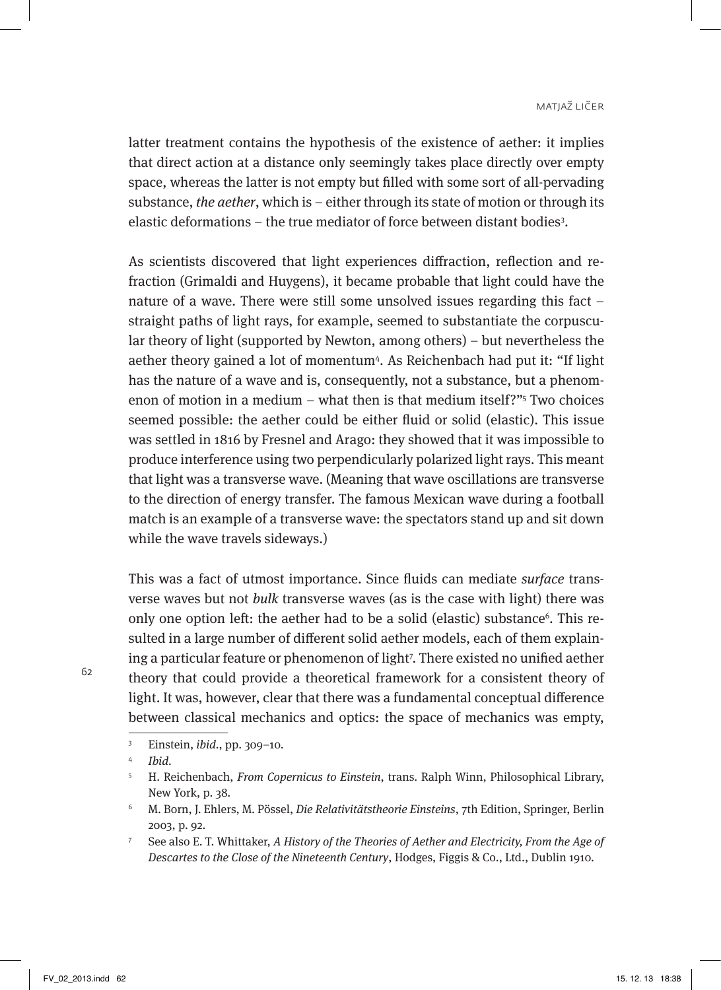latter treatment contains the hypothesis of the existence of aether: it implies that direct action at a distance only seemingly takes place directly over empty space, whereas the latter is not empty but filled with some sort of all-pervading substance, the aether, which is  $-$  either through its state of motion or through its elastic deformations – the true mediator of force between distant bodies<sup>3</sup>.

As scientists discovered that light experiences diffraction, reflection and refraction (Grimaldi and Huygens), it became probable that light could have the nature of a wave. There were still some unsolved issues regarding this fact – straight paths of light rays, for example, seemed to substantiate the corpuscular theory of light (supported by Newton, among others) – but nevertheless the aether theory gained a lot of momentum4 . As Reichenbach had put it: "If light has the nature of a wave and is, consequently, not a substance, but a phenomenon of motion in a medium – what then is that medium itself?"<sup>5</sup> Two choices seemed possible: the aether could be either fluid or solid (elastic). This issue was settled in 1816 by Fresnel and Arago: they showed that it was impossible to produce interference using two perpendicularly polarized light rays. This meant that light was a transverse wave. (Meaning that wave oscillations are transverse to the direction of energy transfer. The famous Mexican wave during a football match is an example of a transverse wave: the spectators stand up and sit down while the wave travels sideways.)

This was a fact of utmost importance. Since fluids can mediate surface transverse waves but not *bulk* transverse waves (as is the case with light) there was only one option left: the aether had to be a solid (elastic) substance<sup>6</sup>. This resulted in a large number of different solid aether models, each of them explaining a particular feature or phenomenon of light7 . There existed no unified aether theory that could provide a theoretical framework for a consistent theory of light. It was, however, clear that there was a fundamental conceptual difference between classical mechanics and optics: the space of mechanics was empty,

<sup>3</sup> Einstein, ibid., pp. 309–10.

<sup>4</sup> Ibid.

<sup>5</sup> H. Reichenbach, From Copernicus to Einstein, trans. Ralph Winn, Philosophical Library, New York, p. 38.

<sup>6</sup> M. Born, J. Ehlers, M. Pössel, Die Relativitätstheorie Einsteins, 7th Edition, Springer, Berlin 2003, p. 92.

<sup>&</sup>lt;sup>7</sup> See also E. T. Whittaker, A History of the Theories of Aether and Electricity, From the Age of Descartes to the Close of the Nineteenth Century, Hodges, Figgis & Co., Ltd., Dublin 1910.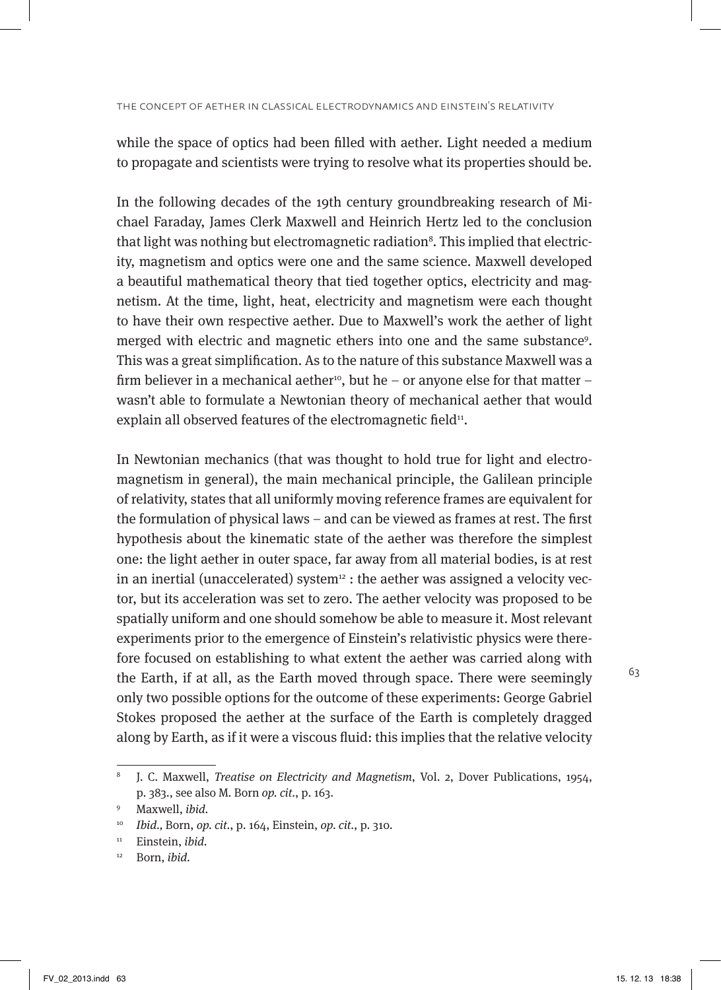while the space of optics had been filled with aether. Light needed a medium to propagate and scientists were trying to resolve what its properties should be.

In the following decades of the 19th century groundbreaking research of Michael Faraday, James Clerk Maxwell and Heinrich Hertz led to the conclusion that light was nothing but electromagnetic radiation<sup>8</sup>. This implied that electricity, magnetism and optics were one and the same science. Maxwell developed a beautiful mathematical theory that tied together optics, electricity and magnetism. At the time, light, heat, electricity and magnetism were each thought to have their own respective aether. Due to Maxwell's work the aether of light merged with electric and magnetic ethers into one and the same substance<sup>9</sup>. This was a great simplification. As to the nature of this substance Maxwell was a firm believer in a mechanical aether<sup>10</sup>, but he – or anyone else for that matter – wasn't able to formulate a Newtonian theory of mechanical aether that would explain all observed features of the electromagnetic field<sup>11</sup>.

In Newtonian mechanics (that was thought to hold true for light and electromagnetism in general), the main mechanical principle, the Galilean principle of relativity, states that all uniformly moving reference frames are equivalent for the formulation of physical laws – and can be viewed as frames at rest. The first hypothesis about the kinematic state of the aether was therefore the simplest one: the light aether in outer space, far away from all material bodies, is at rest in an inertial (unaccelerated) system $12$ : the aether was assigned a velocity vector, but its acceleration was set to zero. The aether velocity was proposed to be spatially uniform and one should somehow be able to measure it. Most relevant experiments prior to the emergence of Einstein's relativistic physics were therefore focused on establishing to what extent the aether was carried along with the Earth, if at all, as the Earth moved through space. There were seemingly only two possible options for the outcome of these experiments: George Gabriel Stokes proposed the aether at the surface of the Earth is completely dragged along by Earth, as if it were a viscous fluid: this implies that the relative velocity

<sup>8</sup> J. C. Maxwell, Treatise on Electricity and Magnetism, Vol. 2, Dover Publications, 1954, p. 383., see also M. Born op. cit., p. 163.

<sup>9</sup> Maxwell, ibid.

<sup>10</sup> Ibid., Born, op. cit., p. 164, Einstein, op. cit., p. 310.

<sup>&</sup>lt;sup>11</sup> Einstein, ibid.

<sup>&</sup>lt;sup>12</sup> Born, *ibid*.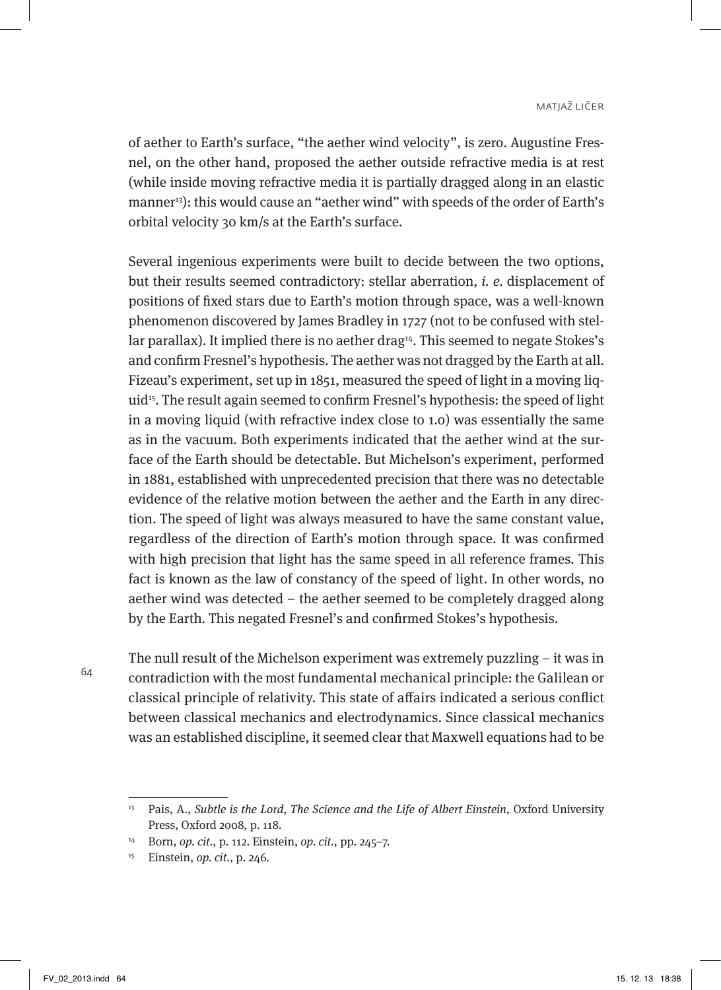of aether to Earth's surface, "the aether wind velocity", is zero. Augustine Fresnel, on the other hand, proposed the aether outside refractive media is at rest (while inside moving refractive media it is partially dragged along in an elastic manner<sup>13</sup>): this would cause an "aether wind" with speeds of the order of Earth's orbital velocity 30 km/s at the Earth's surface.

Several ingenious experiments were built to decide between the two options, but their results seemed contradictory: stellar aberration, i. e. displacement of positions of fixed stars due to Earth's motion through space, was a well-known phenomenon discovered by James Bradley in 1727 (not to be confused with stellar parallax). It implied there is no aether drag<sup>14</sup>. This seemed to negate Stokes's and confirm Fresnel's hypothesis. The aether was not dragged by the Earth at all. Fizeau's experiment, set up in 1851, measured the speed of light in a moving liquid<sup>15</sup>. The result again seemed to confirm Fresnel's hypothesis: the speed of light in a moving liquid (with refractive index close to 1.0) was essentially the same as in the vacuum. Both experiments indicated that the aether wind at the surface of the Earth should be detectable. But Michelson's experiment, performed in 1881, established with unprecedented precision that there was no detectable evidence of the relative motion between the aether and the Earth in any direction. The speed of light was always measured to have the same constant value, regardless of the direction of Earth's motion through space. It was confirmed with high precision that light has the same speed in all reference frames. This fact is known as the law of constancy of the speed of light. In other words, no aether wind was detected – the aether seemed to be completely dragged along by the Earth. This negated Fresnel's and confirmed Stokes's hypothesis.

64

The null result of the Michelson experiment was extremely puzzling – it was in contradiction with the most fundamental mechanical principle: the Galilean or classical principle of relativity. This state of affairs indicated a serious conflict between classical mechanics and electrodynamics. Since classical mechanics was an established discipline, it seemed clear that Maxwell equations had to be

 $13$  Pais, A., Subtle is the Lord, The Science and the Life of Albert Einstein, Oxford University Press, Oxford 2008, p. 118.

<sup>14</sup> Born, op. cit., p. 112. Einstein, op. cit., pp. 245–7.

<sup>15</sup> Einstein, op. cit., p. 246.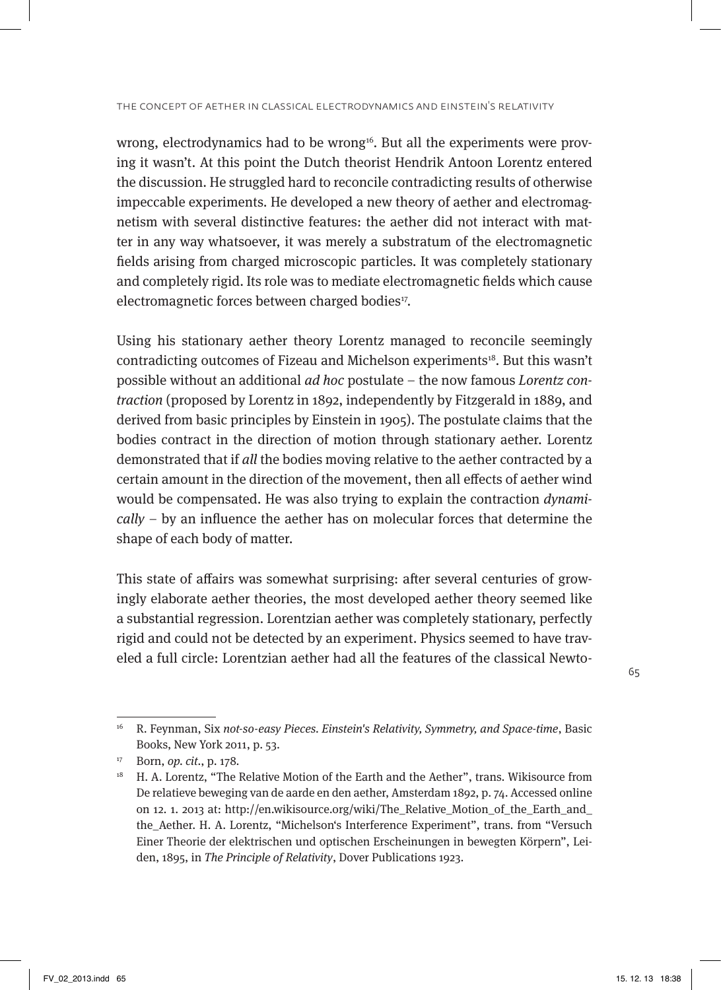wrong, electrodynamics had to be wrong<sup>16</sup>. But all the experiments were proving it wasn't. At this point the Dutch theorist Hendrik Antoon Lorentz entered the discussion. He struggled hard to reconcile contradicting results of otherwise impeccable experiments. He developed a new theory of aether and electromagnetism with several distinctive features: the aether did not interact with matter in any way whatsoever, it was merely a substratum of the electromagnetic fields arising from charged microscopic particles. It was completely stationary and completely rigid. Its role was to mediate electromagnetic fields which cause electromagnetic forces between charged bodies<sup>17</sup>.

Using his stationary aether theory Lorentz managed to reconcile seemingly contradicting outcomes of Fizeau and Michelson experiments<sup>18</sup>. But this wasn't possible without an additional ad hoc postulate – the now famous Lorentz contraction (proposed by Lorentz in 1892, independently by Fitzgerald in 1889, and derived from basic principles by Einstein in 1905). The postulate claims that the bodies contract in the direction of motion through stationary aether. Lorentz demonstrated that if all the bodies moving relative to the aether contracted by a certain amount in the direction of the movement, then all effects of aether wind would be compensated. He was also trying to explain the contraction dynamically – by an influence the aether has on molecular forces that determine the shape of each body of matter.

This state of affairs was somewhat surprising: after several centuries of growingly elaborate aether theories, the most developed aether theory seemed like a substantial regression. Lorentzian aether was completely stationary, perfectly rigid and could not be detected by an experiment. Physics seemed to have traveled a full circle: Lorentzian aether had all the features of the classical Newto-

<sup>&</sup>lt;sup>16</sup> R. Feynman, Six not-so-easy Pieces. Einstein's Relativity, Symmetry, and Space-time, Basic Books, New York 2011, p. 53.

<sup>17</sup> Born, op. cit., p. 178.

<sup>&</sup>lt;sup>18</sup> H. A. Lorentz, "The Relative Motion of the Earth and the Aether", trans. Wikisource from De relatieve beweging van de aarde en den aether, Amsterdam 1892, p. 74. Accessed online on 12. 1. 2013 at: http://en.wikisource.org/wiki/The\_Relative\_Motion\_of\_the\_Earth\_and\_ the\_Aether. H. A. Lorentz, "Michelson's Interference Experiment", trans. from "Versuch Einer Theorie der elektrischen und optischen Erscheinungen in bewegten Körpern", Leiden, 1895, in The Principle of Relativity, Dover Publications 1923.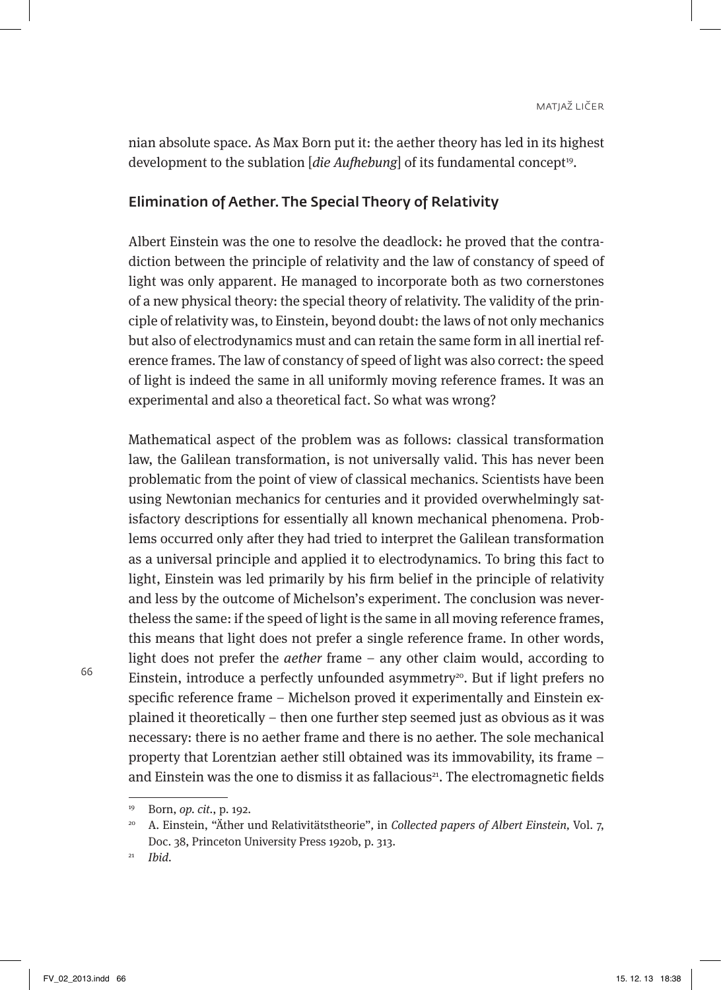nian absolute space. As Max Born put it: the aether theory has led in its highest development to the sublation [die Aufhebung] of its fundamental concept<sup>19</sup>.

## Elimination of Aether. The Special Theory of Relativity

Albert Einstein was the one to resolve the deadlock: he proved that the contradiction between the principle of relativity and the law of constancy of speed of light was only apparent. He managed to incorporate both as two cornerstones of a new physical theory: the special theory of relativity. The validity of the principle of relativity was, to Einstein, beyond doubt: the laws of not only mechanics but also of electrodynamics must and can retain the same form in all inertial reference frames. The law of constancy of speed of light was also correct: the speed of light is indeed the same in all uniformly moving reference frames. It was an experimental and also a theoretical fact. So what was wrong?

Mathematical aspect of the problem was as follows: classical transformation law, the Galilean transformation, is not universally valid. This has never been problematic from the point of view of classical mechanics. Scientists have been using Newtonian mechanics for centuries and it provided overwhelmingly satisfactory descriptions for essentially all known mechanical phenomena. Problems occurred only after they had tried to interpret the Galilean transformation as a universal principle and applied it to electrodynamics. To bring this fact to light, Einstein was led primarily by his firm belief in the principle of relativity and less by the outcome of Michelson's experiment. The conclusion was nevertheless the same: if the speed of light is the same in all moving reference frames, this means that light does not prefer a single reference frame. In other words, light does not prefer the aether frame – any other claim would, according to Einstein, introduce a perfectly unfounded asymmetry<sup>20</sup>. But if light prefers no specific reference frame – Michelson proved it experimentally and Einstein explained it theoretically – then one further step seemed just as obvious as it was necessary: there is no aether frame and there is no aether. The sole mechanical property that Lorentzian aether still obtained was its immovability, its frame – and Einstein was the one to dismiss it as fallacious<sup>21</sup>. The electromagnetic fields

<sup>19</sup> Born, op. cit., p. 192.

<sup>&</sup>lt;sup>20</sup> A. Einstein, "Äther und Relativitätstheorie", in Collected papers of Albert Einstein, Vol. 7, Doc. 38, Princeton University Press 1920b, p. 313.

 $21$  Ibid.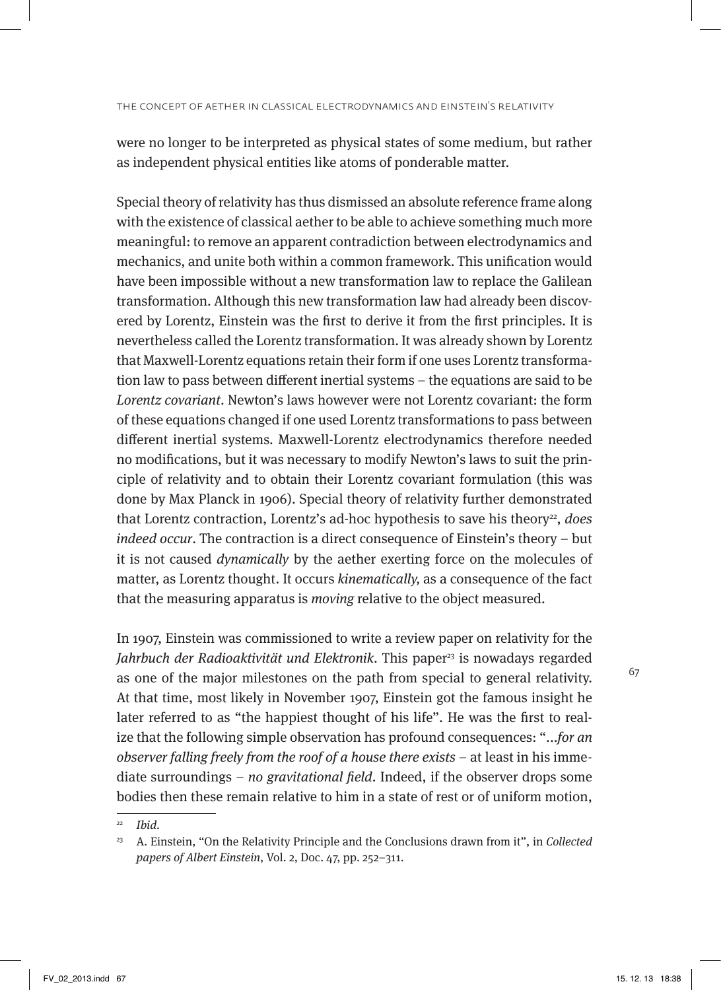were no longer to be interpreted as physical states of some medium, but rather as independent physical entities like atoms of ponderable matter.

Special theory of relativity has thus dismissed an absolute reference frame along with the existence of classical aether to be able to achieve something much more meaningful: to remove an apparent contradiction between electrodynamics and mechanics, and unite both within a common framework. This unification would have been impossible without a new transformation law to replace the Galilean transformation. Although this new transformation law had already been discovered by Lorentz, Einstein was the first to derive it from the first principles. It is nevertheless called the Lorentz transformation. It was already shown by Lorentz that Maxwell-Lorentz equations retain their form if one uses Lorentz transformation law to pass between different inertial systems – the equations are said to be Lorentz covariant. Newton's laws however were not Lorentz covariant: the form of these equations changed if one used Lorentz transformations to pass between different inertial systems. Maxwell-Lorentz electrodynamics therefore needed no modifications, but it was necessary to modify Newton's laws to suit the principle of relativity and to obtain their Lorentz covariant formulation (this was done by Max Planck in 1906). Special theory of relativity further demonstrated that Lorentz contraction, Lorentz's ad-hoc hypothesis to save his theory<sup>22</sup>, does indeed occur. The contraction is a direct consequence of Einstein's theory – but it is not caused dynamically by the aether exerting force on the molecules of matter, as Lorentz thought. It occurs kinematically, as a consequence of the fact that the measuring apparatus is moving relative to the object measured.

In 1907, Einstein was commissioned to write a review paper on relativity for the Jahrbuch der Radioaktivität und Elektronik. This paper<sup>23</sup> is nowadays regarded as one of the major milestones on the path from special to general relativity. At that time, most likely in November 1907, Einstein got the famous insight he later referred to as "the happiest thought of his life". He was the first to realize that the following simple observation has profound consequences: "...for an observer falling freely from the roof of a house there exists – at least in his immediate surroundings – no gravitational field. Indeed, if the observer drops some bodies then these remain relative to him in a state of rest or of uniform motion,

Ibid.

<sup>&</sup>lt;sup>23</sup> A. Einstein, "On the Relativity Principle and the Conclusions drawn from it", in Collected papers of Albert Einstein, Vol. 2, Doc. 47, pp. 252–311.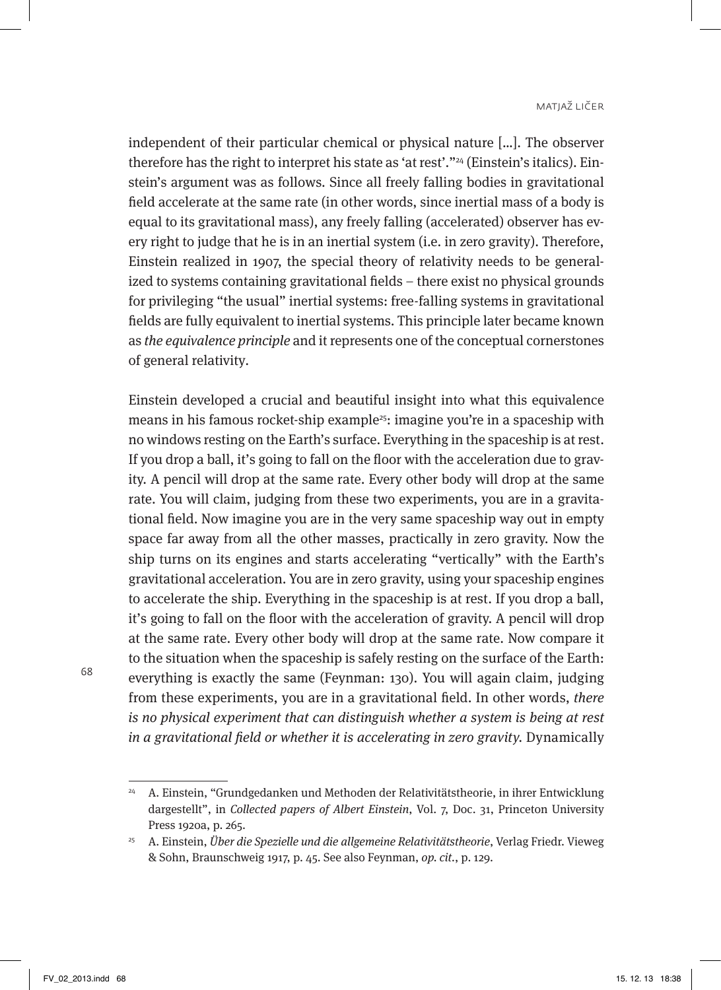independent of their particular chemical or physical nature […]. The observer therefore has the right to interpret his state as 'at rest'."<sup>24</sup> (Einstein's italics). Einstein's argument was as follows. Since all freely falling bodies in gravitational field accelerate at the same rate (in other words, since inertial mass of a body is equal to its gravitational mass), any freely falling (accelerated) observer has every right to judge that he is in an inertial system (i.e. in zero gravity). Therefore, Einstein realized in 1907, the special theory of relativity needs to be generalized to systems containing gravitational fields – there exist no physical grounds for privileging "the usual" inertial systems: free-falling systems in gravitational fields are fully equivalent to inertial systems. This principle later became known as the equivalence principle and it represents one of the conceptual cornerstones of general relativity.

Einstein developed a crucial and beautiful insight into what this equivalence means in his famous rocket-ship example<sup>25</sup>: imagine you're in a spaceship with no windows resting on the Earth's surface. Everything in the spaceship is at rest. If you drop a ball, it's going to fall on the floor with the acceleration due to gravity. A pencil will drop at the same rate. Every other body will drop at the same rate. You will claim, judging from these two experiments, you are in a gravitational field. Now imagine you are in the very same spaceship way out in empty space far away from all the other masses, practically in zero gravity. Now the ship turns on its engines and starts accelerating "vertically" with the Earth's gravitational acceleration. You are in zero gravity, using your spaceship engines to accelerate the ship. Everything in the spaceship is at rest. If you drop a ball, it's going to fall on the floor with the acceleration of gravity. A pencil will drop at the same rate. Every other body will drop at the same rate. Now compare it to the situation when the spaceship is safely resting on the surface of the Earth: everything is exactly the same (Feynman: 130). You will again claim, judging from these experiments, you are in a gravitational field. In other words, there is no physical experiment that can distinguish whether a system is being at rest in a gravitational field or whether it is accelerating in zero gravity. Dynamically

<sup>24</sup> A. Einstein, "Grundgedanken und Methoden der Relativitätstheorie, in ihrer Entwicklung dargestellt", in Collected papers of Albert Einstein, Vol. 7, Doc. 31, Princeton University Press 1920a, p. 265.

<sup>&</sup>lt;sup>25</sup> A. Einstein, Über die Spezielle und die allgemeine Relativitätstheorie, Verlag Friedr. Vieweg & Sohn, Braunschweig 1917, p. 45. See also Feynman, op. cit., p. 129.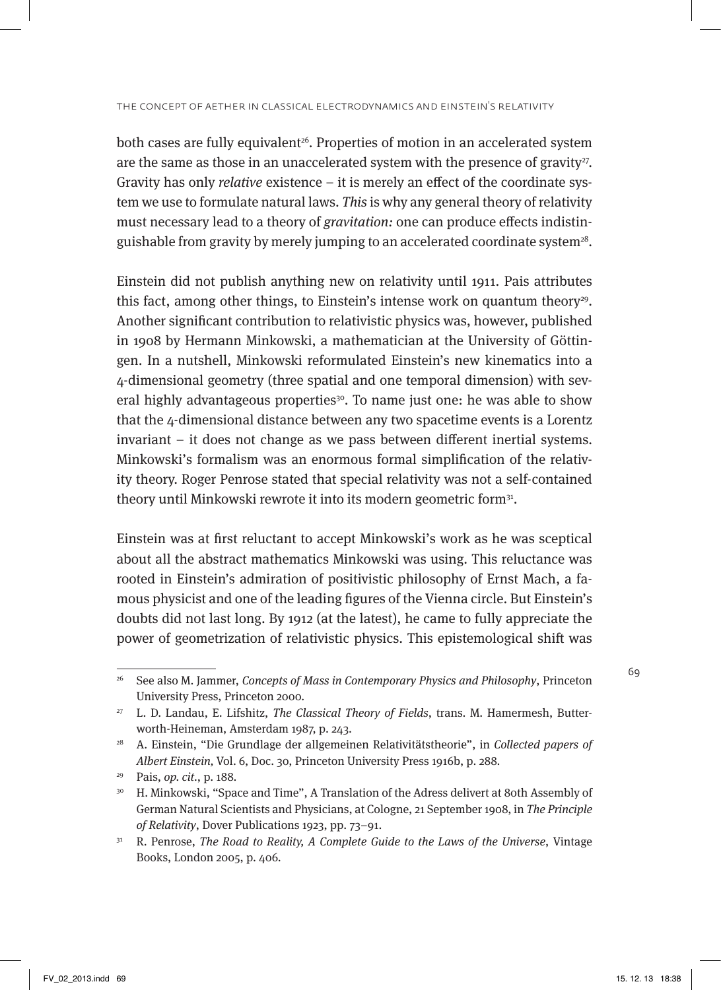both cases are fully equivalent<sup>26</sup>. Properties of motion in an accelerated system are the same as those in an unaccelerated system with the presence of gravity $27$ . Gravity has only relative existence – it is merely an effect of the coordinate system we use to formulate natural laws. This is why any general theory of relativity must necessary lead to a theory of gravitation: one can produce effects indistinguishable from gravity by merely jumping to an accelerated coordinate system<sup>28</sup>.

Einstein did not publish anything new on relativity until 1911. Pais attributes this fact, among other things, to Einstein's intense work on quantum theory<sup>29</sup>. Another significant contribution to relativistic physics was, however, published in 1908 by Hermann Minkowski, a mathematician at the University of Göttingen. In a nutshell, Minkowski reformulated Einstein's new kinematics into a 4-dimensional geometry (three spatial and one temporal dimension) with several highly advantageous properties<sup>30</sup>. To name just one: he was able to show that the 4-dimensional distance between any two spacetime events is a Lorentz invariant – it does not change as we pass between different inertial systems. Minkowski's formalism was an enormous formal simplification of the relativity theory. Roger Penrose stated that special relativity was not a self-contained theory until Minkowski rewrote it into its modern geometric form<sup>31</sup>.

Einstein was at first reluctant to accept Minkowski's work as he was sceptical about all the abstract mathematics Minkowski was using. This reluctance was rooted in Einstein's admiration of positivistic philosophy of Ernst Mach, a famous physicist and one of the leading figures of the Vienna circle. But Einstein's doubts did not last long. By 1912 (at the latest), he came to fully appreciate the power of geometrization of relativistic physics. This epistemological shift was

<sup>&</sup>lt;sup>26</sup> See also M. Jammer, Concepts of Mass in Contemporary Physics and Philosophy, Princeton University Press, Princeton 2000.

<sup>&</sup>lt;sup>27</sup> L. D. Landau, E. Lifshitz, *The Classical Theory of Fields*, trans. M. Hamermesh, Butterworth-Heineman, Amsterdam 1987, p. 243.

 $28$  A. Einstein, "Die Grundlage der allgemeinen Relativitätstheorie", in Collected papers of Albert Einstein, Vol. 6, Doc. 30, Princeton University Press 1916b, p. 288.

<sup>29</sup> Pais, op. cit., p. 188.

<sup>&</sup>lt;sup>30</sup> H. Minkowski, "Space and Time", A Translation of the Adress delivert at 80th Assembly of German Natural Scientists and Physicians, at Cologne, 21 September 1908, in The Principle of Relativity, Dover Publications 1923, pp. 73–91.

<sup>&</sup>lt;sup>31</sup> R. Penrose, *The Road to Reality, A Complete Guide to the Laws of the Universe*, Vintage Books, London 2005, p. 406.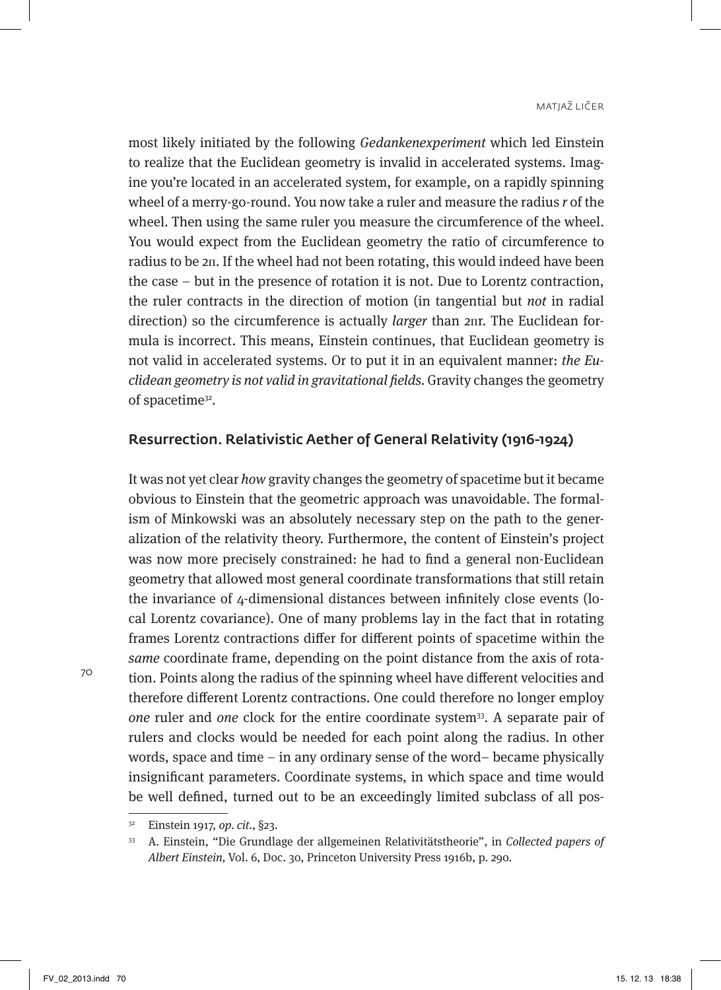most likely initiated by the following Gedankenexperiment which led Einstein to realize that the Euclidean geometry is invalid in accelerated systems. Imagine you're located in an accelerated system, for example, on a rapidly spinning wheel of a merry-go-round. You now take a ruler and measure the radius r of the wheel. Then using the same ruler you measure the circumference of the wheel. You would expect from the Euclidean geometry the ratio of circumference to radius to be 2п. If the wheel had not been rotating, this would indeed have been the case – but in the presence of rotation it is not. Due to Lorentz contraction, the ruler contracts in the direction of motion (in tangential but not in radial direction) so the circumference is actually *larger* than 2пr. The Euclidean formula is incorrect. This means, Einstein continues, that Euclidean geometry is not valid in accelerated systems. Or to put it in an equivalent manner: the Euclidean geometry is not valid in gravitational fields. Gravity changes the geometry of spacetime<sup>32</sup>.

### Resurrection. Relativistic Aether of General Relativity (1916-1924)

It was not yet clear how gravity changes the geometry of spacetime but it became obvious to Einstein that the geometric approach was unavoidable. The formalism of Minkowski was an absolutely necessary step on the path to the generalization of the relativity theory. Furthermore, the content of Einstein's project was now more precisely constrained: he had to find a general non-Euclidean geometry that allowed most general coordinate transformations that still retain the invariance of 4-dimensional distances between infinitely close events (local Lorentz covariance). One of many problems lay in the fact that in rotating frames Lorentz contractions differ for different points of spacetime within the same coordinate frame, depending on the point distance from the axis of rotation. Points along the radius of the spinning wheel have different velocities and therefore different Lorentz contractions. One could therefore no longer employ one ruler and one clock for the entire coordinate system<sup>33</sup>. A separate pair of rulers and clocks would be needed for each point along the radius. In other words, space and time – in any ordinary sense of the word– became physically insignificant parameters. Coordinate systems, in which space and time would be well defined, turned out to be an exceedingly limited subclass of all pos-

<sup>32</sup> Einstein 1917, op. cit., §23.

<sup>33</sup> A. Einstein, "Die Grundlage der allgemeinen Relativitätstheorie", in Collected papers of Albert Einstein, Vol. 6, Doc. 30, Princeton University Press 1916b, p. 290.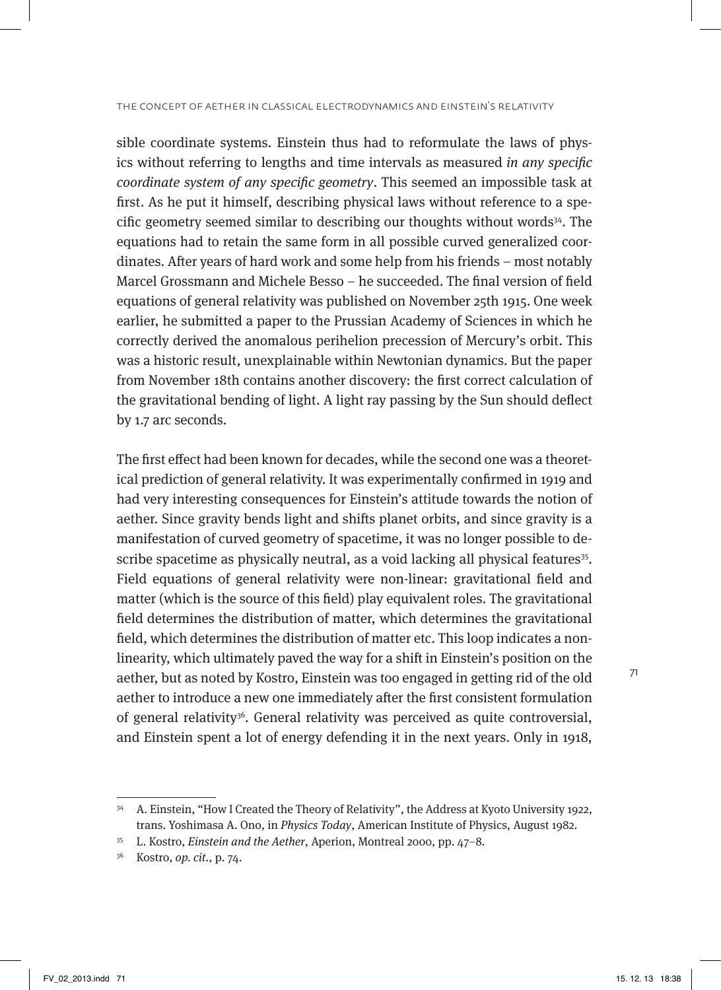sible coordinate systems. Einstein thus had to reformulate the laws of physics without referring to lengths and time intervals as measured in any specific coordinate system of any specific geometry. This seemed an impossible task at first. As he put it himself, describing physical laws without reference to a specific geometry seemed similar to describing our thoughts without words<sup>34</sup>. The equations had to retain the same form in all possible curved generalized coordinates. After years of hard work and some help from his friends – most notably Marcel Grossmann and Michele Besso – he succeeded. The final version of field equations of general relativity was published on November 25th 1915. One week earlier, he submitted a paper to the Prussian Academy of Sciences in which he correctly derived the anomalous perihelion precession of Mercury's orbit. This was a historic result, unexplainable within Newtonian dynamics. But the paper from November 18th contains another discovery: the first correct calculation of the gravitational bending of light. A light ray passing by the Sun should deflect by 1.7 arc seconds.

The first effect had been known for decades, while the second one was a theoretical prediction of general relativity. It was experimentally confirmed in 1919 and had very interesting consequences for Einstein's attitude towards the notion of aether. Since gravity bends light and shifts planet orbits, and since gravity is a manifestation of curved geometry of spacetime, it was no longer possible to describe spacetime as physically neutral, as a void lacking all physical features<sup>35</sup>. Field equations of general relativity were non-linear: gravitational field and matter (which is the source of this field) play equivalent roles. The gravitational field determines the distribution of matter, which determines the gravitational field, which determines the distribution of matter etc. This loop indicates a nonlinearity, which ultimately paved the way for a shift in Einstein's position on the aether, but as noted by Kostro, Einstein was too engaged in getting rid of the old aether to introduce a new one immediately after the first consistent formulation of general relativity<sup>36</sup>. General relativity was perceived as quite controversial, and Einstein spent a lot of energy defending it in the next years. Only in 1918,

<sup>34</sup> A. Einstein, "How I Created the Theory of Relativity", the Address at Kyoto University 1922, trans. Yoshimasa A. Ono, in Physics Today, American Institute of Physics, August 1982.

<sup>35</sup> L. Kostro, Einstein and the Aether, Aperion, Montreal 2000, pp. 47–8.

<sup>36</sup> Kostro, op. cit., p. 74.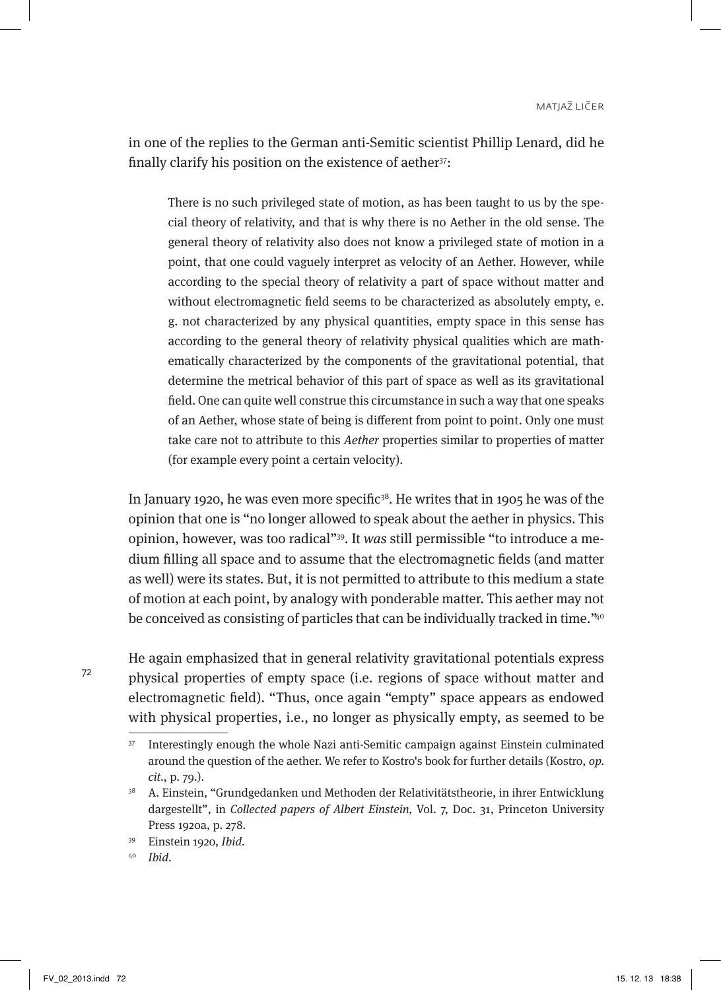in one of the replies to the German anti-Semitic scientist Phillip Lenard, did he finally clarify his position on the existence of aether<sup>37</sup>:

There is no such privileged state of motion, as has been taught to us by the special theory of relativity, and that is why there is no Aether in the old sense. The general theory of relativity also does not know a privileged state of motion in a point, that one could vaguely interpret as velocity of an Aether. However, while according to the special theory of relativity a part of space without matter and without electromagnetic field seems to be characterized as absolutely empty, e. g. not characterized by any physical quantities, empty space in this sense has according to the general theory of relativity physical qualities which are mathematically characterized by the components of the gravitational potential, that determine the metrical behavior of this part of space as well as its gravitational field. One can quite well construe this circumstance in such a way that one speaks of an Aether, whose state of being is different from point to point. Only one must take care not to attribute to this Aether properties similar to properties of matter (for example every point a certain velocity).

In January 1920, he was even more specific<sup>38</sup>. He writes that in 1905 he was of the opinion that one is "no longer allowed to speak about the aether in physics. This opinion, however, was too radical"39. It was still permissible "to introduce a medium filling all space and to assume that the electromagnetic fields (and matter as well) were its states. But, it is not permitted to attribute to this medium a state of motion at each point, by analogy with ponderable matter. This aether may not be conceived as consisting of particles that can be individually tracked in time."40

He again emphasized that in general relativity gravitational potentials express physical properties of empty space (i.e. regions of space without matter and electromagnetic field). "Thus, once again "empty" space appears as endowed with physical properties, i.e., no longer as physically empty, as seemed to be

<sup>37</sup> Interestingly enough the whole Nazi anti-Semitic campaign against Einstein culminated around the question of the aether. We refer to Kostro's book for further details (Kostro, op. cit., p. 79.).

<sup>38</sup> A. Einstein, "Grundgedanken und Methoden der Relativitätstheorie, in ihrer Entwicklung dargestellt", in Collected papers of Albert Einstein, Vol. 7, Doc. 31, Princeton University Press 1920a, p. 278.

<sup>39</sup> Einstein 1920, Ibid.

<sup>40</sup> Ibid.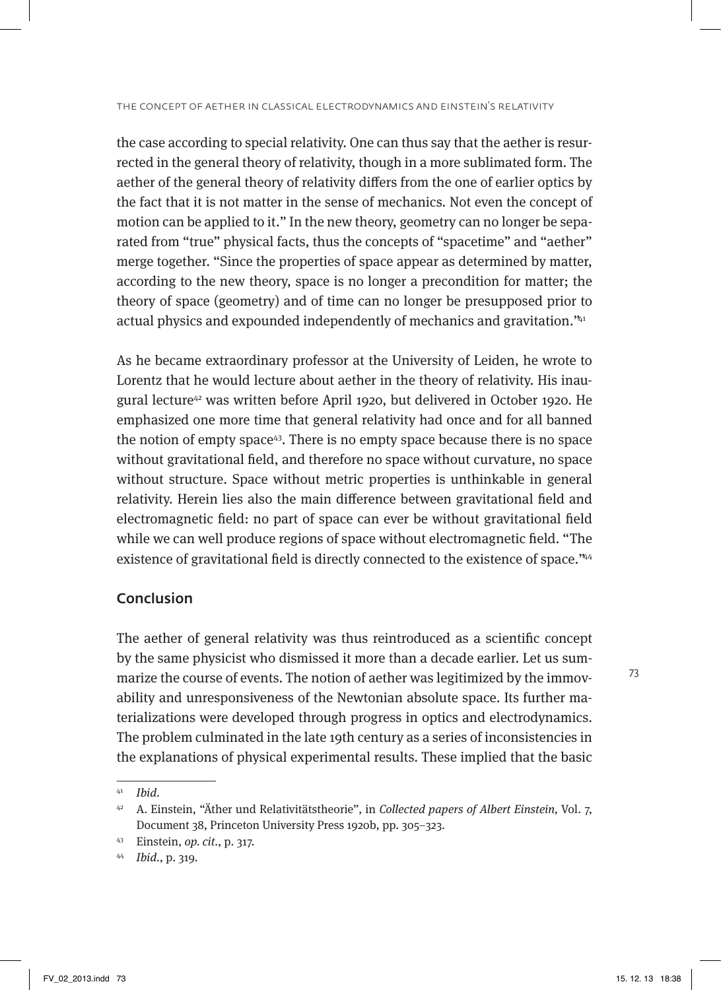the case according to special relativity. One can thus say that the aether is resurrected in the general theory of relativity, though in a more sublimated form. The aether of the general theory of relativity differs from the one of earlier optics by the fact that it is not matter in the sense of mechanics. Not even the concept of motion can be applied to it." In the new theory, geometry can no longer be separated from "true" physical facts, thus the concepts of "spacetime" and "aether" merge together. "Since the properties of space appear as determined by matter, according to the new theory, space is no longer a precondition for matter; the theory of space (geometry) and of time can no longer be presupposed prior to actual physics and expounded independently of mechanics and gravitation."41

As he became extraordinary professor at the University of Leiden, he wrote to Lorentz that he would lecture about aether in the theory of relativity. His inaugural lecture<sup>42</sup> was written before April 1920, but delivered in October 1920. He emphasized one more time that general relativity had once and for all banned the notion of empty space43. There is no empty space because there is no space without gravitational field, and therefore no space without curvature, no space without structure. Space without metric properties is unthinkable in general relativity. Herein lies also the main difference between gravitational field and electromagnetic field: no part of space can ever be without gravitational field while we can well produce regions of space without electromagnetic field. "The existence of gravitational field is directly connected to the existence of space."44

## Conclusion

The aether of general relativity was thus reintroduced as a scientific concept by the same physicist who dismissed it more than a decade earlier. Let us summarize the course of events. The notion of aether was legitimized by the immovability and unresponsiveness of the Newtonian absolute space. Its further materializations were developed through progress in optics and electrodynamics. The problem culminated in the late 19th century as a series of inconsistencies in the explanations of physical experimental results. These implied that the basic

 $41$  Ibid.

<sup>&</sup>lt;sup>42</sup> A. Einstein, "Äther und Relativitätstheorie", in Collected papers of Albert Einstein, Vol. 7, Document 38, Princeton University Press 1920b, pp. 305–323.

<sup>43</sup> Einstein, op. cit., p. 317.

<sup>44</sup> Ibid., p. 319.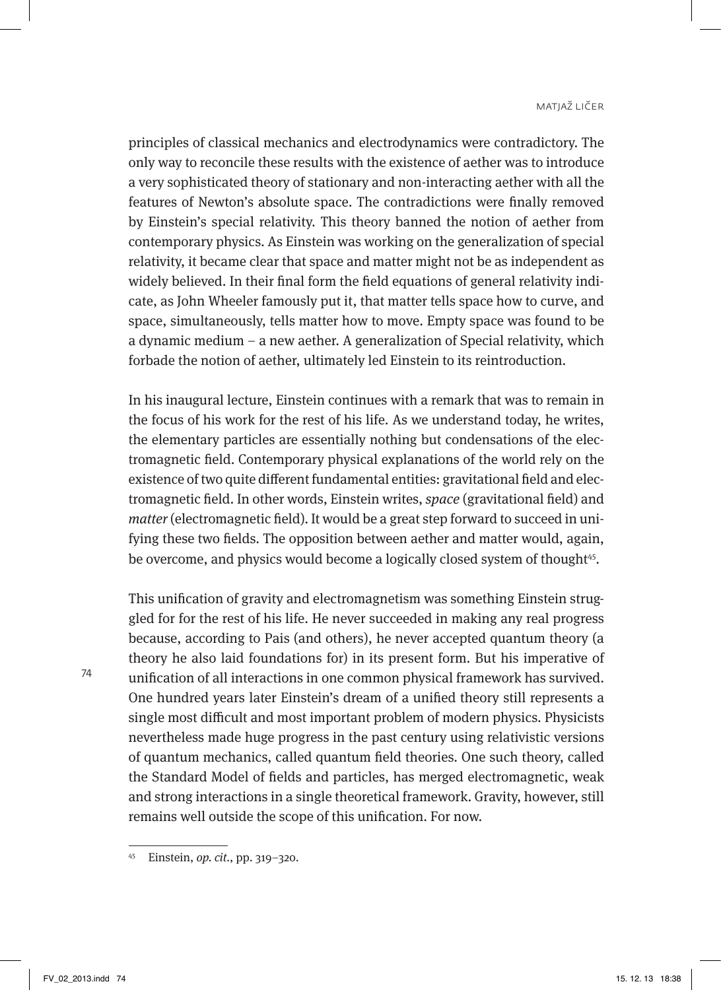principles of classical mechanics and electrodynamics were contradictory. The only way to reconcile these results with the existence of aether was to introduce a very sophisticated theory of stationary and non-interacting aether with all the features of Newton's absolute space. The contradictions were finally removed by Einstein's special relativity. This theory banned the notion of aether from contemporary physics. As Einstein was working on the generalization of special relativity, it became clear that space and matter might not be as independent as widely believed. In their final form the field equations of general relativity indicate, as John Wheeler famously put it, that matter tells space how to curve, and space, simultaneously, tells matter how to move. Empty space was found to be a dynamic medium – a new aether. A generalization of Special relativity, which forbade the notion of aether, ultimately led Einstein to its reintroduction.

In his inaugural lecture, Einstein continues with a remark that was to remain in the focus of his work for the rest of his life. As we understand today, he writes, the elementary particles are essentially nothing but condensations of the electromagnetic field. Contemporary physical explanations of the world rely on the existence of two quite different fundamental entities: gravitational field and electromagnetic field. In other words, Einstein writes, space (gravitational field) and matter (electromagnetic field). It would be a great step forward to succeed in unifying these two fields. The opposition between aether and matter would, again, be overcome, and physics would become a logically closed system of thought<sup>45</sup>.

This unification of gravity and electromagnetism was something Einstein struggled for for the rest of his life. He never succeeded in making any real progress because, according to Pais (and others), he never accepted quantum theory (a theory he also laid foundations for) in its present form. But his imperative of unification of all interactions in one common physical framework has survived. One hundred years later Einstein's dream of a unified theory still represents a single most difficult and most important problem of modern physics. Physicists nevertheless made huge progress in the past century using relativistic versions of quantum mechanics, called quantum field theories. One such theory, called the Standard Model of fields and particles, has merged electromagnetic, weak and strong interactions in a single theoretical framework. Gravity, however, still remains well outside the scope of this unification. For now.

<sup>45</sup> Einstein, op. cit., pp. 319–320.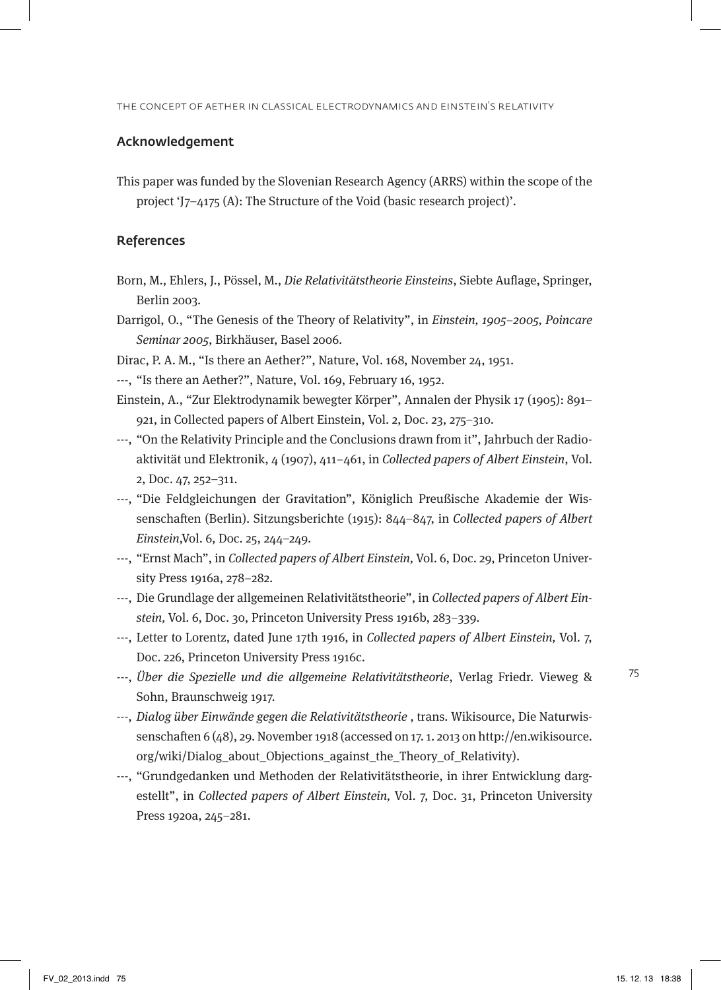#### Acknowledgement

This paper was funded by the Slovenian Research Agency (ARRS) within the scope of the project 'J7–4175 (A): The Structure of the Void (basic research project)'.

#### References

- Born, M., Ehlers, J., Pössel, M., Die Relativitätstheorie Einsteins, Siebte Auflage, Springer, Berlin 2003.
- Darrigol, O., "The Genesis of the Theory of Relativity", in Einstein, 1905–2005, Poincare Seminar 2005, Birkhäuser, Basel 2006.
- Dirac, P. A. M., "Is there an Aether?", Nature, Vol. 168, November 24, 1951.
- ---, "Is there an Aether?", Nature, Vol. 169, February 16, 1952.
- Einstein, A., "Zur Elektrodynamik bewegter Körper", Annalen der Physik 17 (1905): 891– 921, in Collected papers of Albert Einstein, Vol. 2, Doc. 23, 275–310.
- ---, "On the Relativity Principle and the Conclusions drawn from it", Jahrbuch der Radioaktivität und Elektronik, 4 (1907), 411–461, in Collected papers of Albert Einstein, Vol. 2, Doc. 47, 252–311.
- ---, "Die Feldgleichungen der Gravitation", Königlich Preußische Akademie der Wissenschaften (Berlin). Sitzungsberichte (1915): 844–847, in Collected papers of Albert Einstein,Vol. 6, Doc. 25, 244–249.
- ---, "Ernst Mach", in Collected papers of Albert Einstein, Vol. 6, Doc. 29, Princeton University Press 1916a, 278–282.
- ---, Die Grundlage der allgemeinen Relativitätstheorie", in Collected papers of Albert Einstein, Vol. 6, Doc. 30, Princeton University Press 1916b, 283–339.
- ---, Letter to Lorentz, dated June 17th 1916, in Collected papers of Albert Einstein, Vol. 7, Doc. 226, Princeton University Press 1916c.
- ---, Über die Spezielle und die allgemeine Relativitätstheorie, Verlag Friedr. Vieweg & Sohn, Braunschweig 1917.
- ---, Dialog über Einwände gegen die Relativitätstheorie , trans. Wikisource, Die Naturwissenschaften 6 (48), 29. November 1918 (accessed on 17. 1. 2013 on http://en.wikisource. org/wiki/Dialog\_about\_Objections\_against\_the\_Theory\_of\_Relativity).
- ---, "Grundgedanken und Methoden der Relativitätstheorie, in ihrer Entwicklung dargestellt", in Collected papers of Albert Einstein, Vol. 7, Doc. 31, Princeton University Press 1920a, 245–281.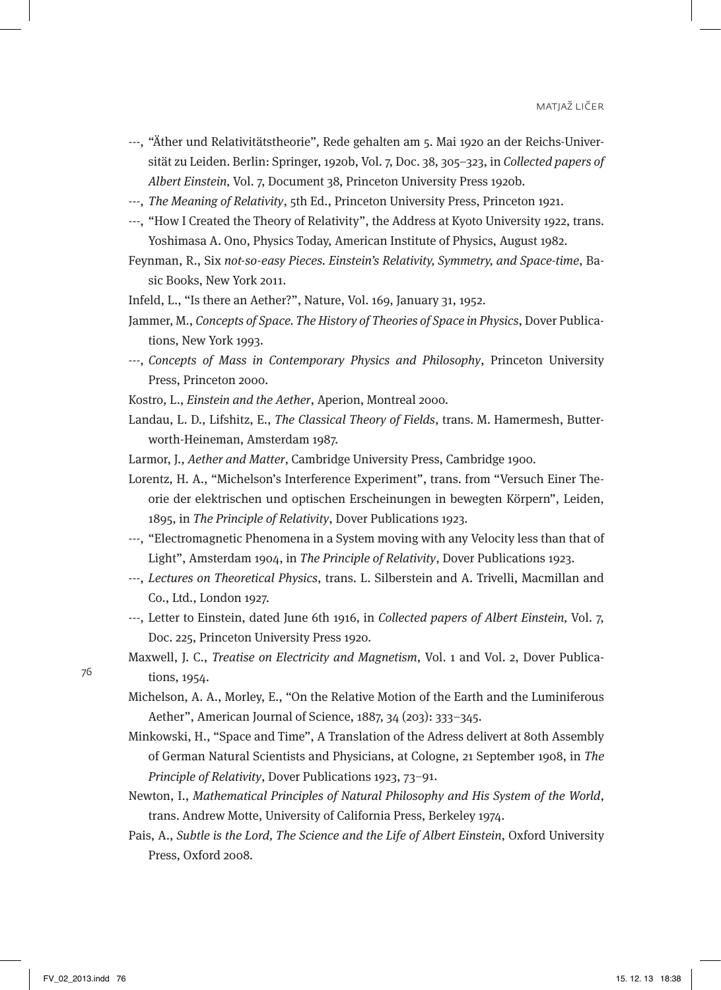- ---, "Äther und Relativitätstheorie", Rede gehalten am 5. Mai 1920 an der Reichs-Universität zu Leiden. Berlin: Springer, 1920b, Vol. 7, Doc. 38, 305–323, in Collected papers of Albert Einstein, Vol. 7, Document 38, Princeton University Press 1920b.
- ---, The Meaning of Relativity, 5th Ed., Princeton University Press, Princeton 1921.
- ---, "How I Created the Theory of Relativity", the Address at Kyoto University 1922, trans. Yoshimasa A. Ono, Physics Today, American Institute of Physics, August 1982.
- Feynman, R., Six not-so-easy Pieces. Einstein's Relativity, Symmetry, and Space-time, Basic Books, New York 2011.
- Infeld, L., "Is there an Aether?", Nature, Vol. 169, January 31, 1952.
- Jammer, M., Concepts of Space. The History of Theories of Space in Physics, Dover Publications, New York 1993.
- ---, Concepts of Mass in Contemporary Physics and Philosophy, Princeton University Press, Princeton 2000.
- Kostro, L., Einstein and the Aether, Aperion, Montreal 2000.
- Landau, L. D., Lifshitz, E., The Classical Theory of Fields, trans. M. Hamermesh, Butterworth-Heineman, Amsterdam 1987.
- Larmor, J., Aether and Matter, Cambridge University Press, Cambridge 1900.
- Lorentz, H. A., "Michelson's Interference Experiment", trans. from "Versuch Einer Theorie der elektrischen und optischen Erscheinungen in bewegten Körpern", Leiden, 1895, in The Principle of Relativity, Dover Publications 1923.
- ---, "Electromagnetic Phenomena in a System moving with any Velocity less than that of Light", Amsterdam 1904, in The Principle of Relativity, Dover Publications 1923.
- ---, Lectures on Theoretical Physics, trans. L. Silberstein and A. Trivelli, Macmillan and Co., Ltd., London 1927.
- ---, Letter to Einstein, dated June 6th 1916, in Collected papers of Albert Einstein, Vol. 7, Doc. 225, Princeton University Press 1920.
- Maxwell, J. C., Treatise on Electricity and Magnetism, Vol. 1 and Vol. 2, Dover Publications, 1954.
- Michelson, A. A., Morley, E., "On the Relative Motion of the Earth and the Luminiferous Aether", American Journal of Science, 1887, 34 (203): 333–345.
- Minkowski, H., "Space and Time", A Translation of the Adress delivert at 80th Assembly of German Natural Scientists and Physicians, at Cologne, 21 September 1908, in The Principle of Relativity, Dover Publications 1923, 73–91.
- Newton, I., Mathematical Principles of Natural Philosophy and His System of the World, trans. Andrew Motte, University of California Press, Berkeley 1974.
- Pais, A., Subtle is the Lord, The Science and the Life of Albert Einstein, Oxford University Press, Oxford 2008.